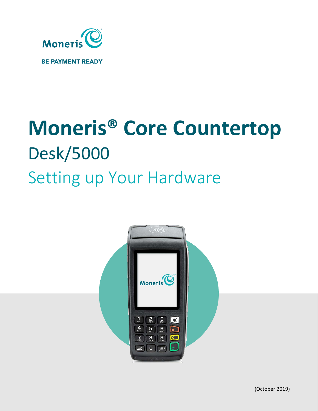

# **Moneris® Core Countertop** Desk/5000 Setting up Your Hardware

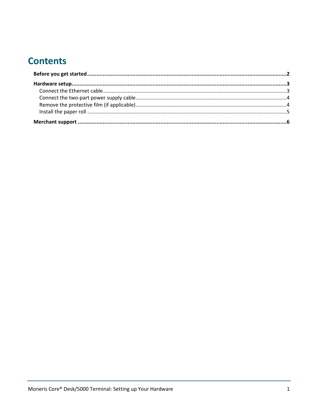# **Contents**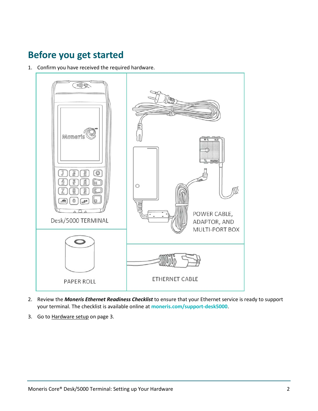# <span id="page-2-0"></span>**Before you get started**

1. Confirm you have received the required hardware.



- 2. Review the *Moneris Ethernet Readiness Checklist* to ensure that your Ethernet service is ready to support your terminal. The checklist is available online at **[moneris.com/support-desk5000](http://moneris.com/support-desk5000)**.
- 3. Go to [Hardware setup](#page-3-0) on pag[e 3.](#page-3-0)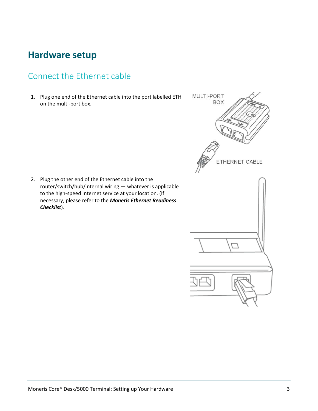# <span id="page-3-0"></span>**Hardware setup**

#### <span id="page-3-1"></span>Connect the Ethernet cable

1. Plug one end of the Ethernet cable into the port labelled ETH on the multi-port box.

2. Plug the other end of the Ethernet cable into the router/switch/hub/internal wiring — whatever is applicable to the high-speed Internet service at your location. (If necessary, please refer to the *Moneris Ethernet Readiness Checklist*).

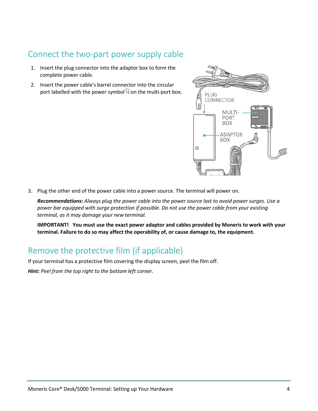#### <span id="page-4-0"></span>Connect the two-part power supply cable

- 1. Insert the plug connector into the adaptor box to form the complete power cable.
- 2. Insert the power cable's barrel connector into the circular port labelled with the power symbol  $\mathbb R$  on the multi-port box.



3. Plug the other end of the power cable into a power source. The terminal will power on.

*Recommendations: Always plug the power cable into the power source last to avoid power surges. Use a power bar equipped with surge protection if possible. Do not use the power cable from your existing terminal, as it may damage your new terminal.*

**IMPORTANT! You must use the exact power adaptor and cables provided by Moneris to work with your terminal. Failure to do so may affect the operability of, or cause damage to, the equipment.**

#### <span id="page-4-1"></span>Remove the protective film (if applicable)

If your terminal has a protective film covering the display screen, peel the film off.

*Hint: Peel from the top right to the bottom left corner.*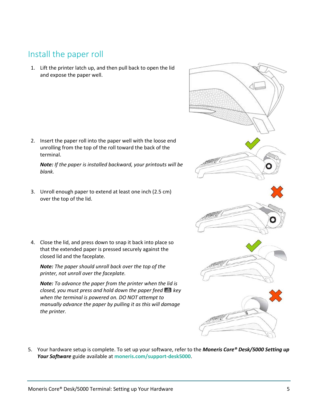#### <span id="page-5-0"></span>Install the paper roll

1. Lift the printer latch up, and then pull back to open the lid and expose the paper well.

2. Insert the paper roll into the paper well with the loose end unrolling from the top of the roll toward the back of the terminal.

*Note: If the paper is installed backward, your printouts will be blank.*

- 3. Unroll enough paper to extend at least one inch (2.5 cm) over the top of the lid.
- 4. Close the lid, and press down to snap it back into place so that the extended paper is pressed securely against the closed lid and the faceplate.

*Note: The paper should unroll back over the top of the printer, not unroll over the faceplate.*

*Note: To advance the paper from the printer when the lid is closed, you must press and hold down the paper feed*  $\blacksquare$  key *when the terminal is powered on. DO NOT attempt to manually advance the paper by pulling it as this will damage the printer.*

5. Your hardware setup is complete. To set up your software, refer to the *Moneris Core® Desk/5000 Setting up Your Software* guide available at **[moneris.com/support-desk5000](http://moneris.com/support-desk5000)**.

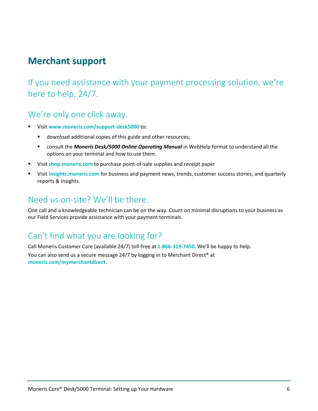# <span id="page-6-0"></span>**Merchant support**

If you need assistance with your payment processing solution, we're here to help, 24/7.

#### We're only one click away.

- Visit **[www.moneris.com/support-desk5000](http://www.moneris.com/support-desk5000)** to:
	- **download additional copies of this guide and other resources;**
	- consult the *Moneris Desk/5000 Online Operating Manual* in WebHelp format to understand all the options on your terminal and how to use them.
- Visit **[shop.moneris.com](https://shop.moneris.com/)** to purchase point-of-sale supplies and receipt paper
- Visit **[insights.moneris.com](http://insights.moneris.com/)** for business and payment news, trends, customer success stories, and quarterly reports & insights

### Need us on-site? We'll be there.

One call and a knowledgeable technician can be on the way. Count on minimal disruptions to your business as our Field Services provide assistance with your payment terminals.

## Can't find what you are looking for?

Call Moneris Customer Care (available 24/7) toll-free at **1-866-319-7450**. We'll be happy to help. You can also send us a secure message 24/7 by logging in to Merchant Direct® at **[moneris.com/mymerchantdirect](https://moneris.com/mymerchantdirect)**.